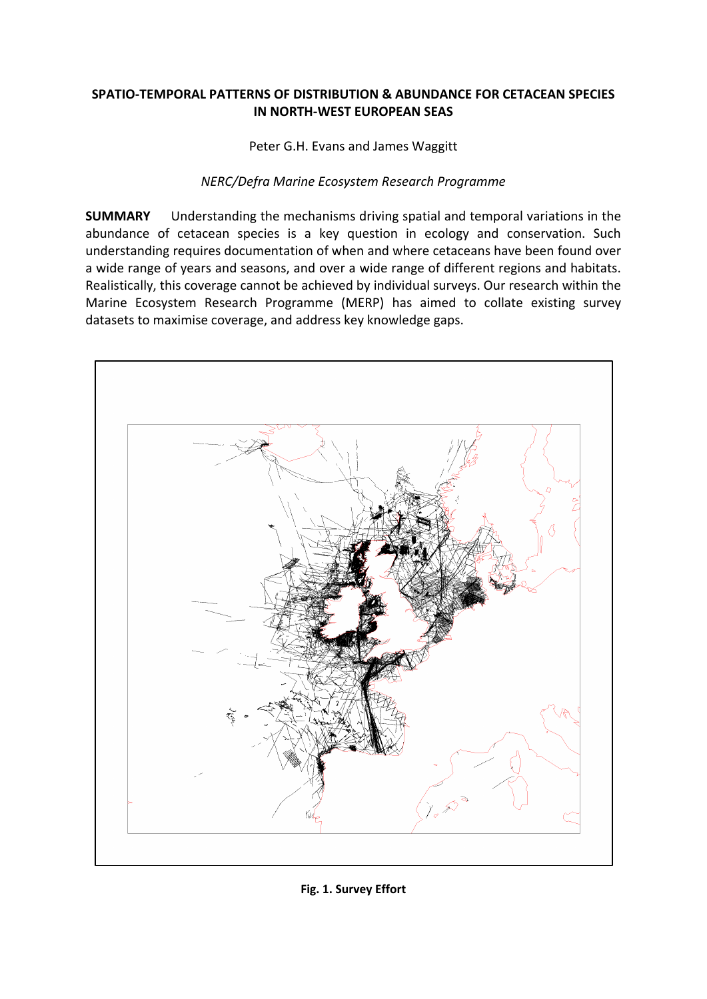## **SPATIO-TEMPORAL PATTERNS OF DISTRIBUTION & ABUNDANCE FOR CETACEAN SPECIES IN NORTH-WEST EUROPEAN SEAS**

Peter G.H. Evans and James Waggitt

## *NERC/Defra Marine Ecosystem Research Programme*

**SUMMARY** Understanding the mechanisms driving spatial and temporal variations in the abundance of cetacean species is a key question in ecology and conservation. Such understanding requires documentation of when and where cetaceans have been found over a wide range of years and seasons, and over a wide range of different regions and habitats. Realistically, this coverage cannot be achieved by individual surveys. Our research within the Marine Ecosystem Research Programme (MERP) has aimed to collate existing survey datasets to maximise coverage, and address key knowledge gaps.



**Fig. 1. Survey Effort**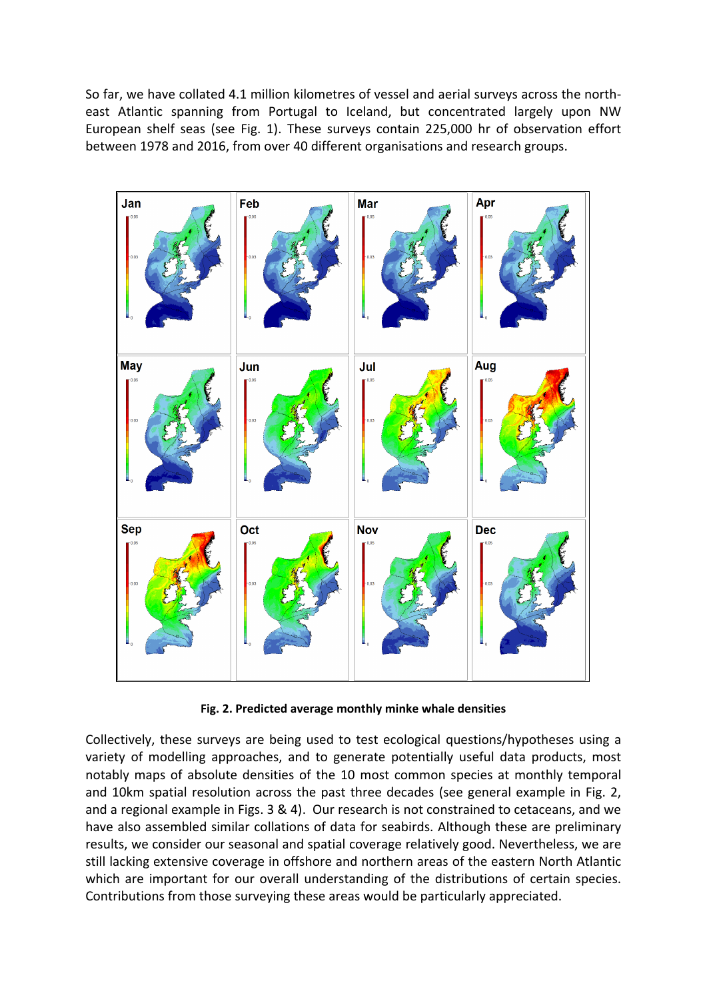So far, we have collated 4.1 million kilometres of vessel and aerial surveys across the northeast Atlantic spanning from Portugal to Iceland, but concentrated largely upon NW European shelf seas (see Fig. 1). These surveys contain 225,000 hr of observation effort between 1978 and 2016, from over 40 different organisations and research groups.



**Fig. 2. Predicted average monthly minke whale densities**

Collectively, these surveys are being used to test ecological questions/hypotheses using a variety of modelling approaches, and to generate potentially useful data products, most notably maps of absolute densities of the 10 most common species at monthly temporal and 10km spatial resolution across the past three decades (see general example in Fig. 2, and a regional example in Figs. 3 & 4). Our research is not constrained to cetaceans, and we have also assembled similar collations of data for seabirds. Although these are preliminary results, we consider our seasonal and spatial coverage relatively good. Nevertheless, we are still lacking extensive coverage in offshore and northern areas of the eastern North Atlantic which are important for our overall understanding of the distributions of certain species. Contributions from those surveying these areas would be particularly appreciated.